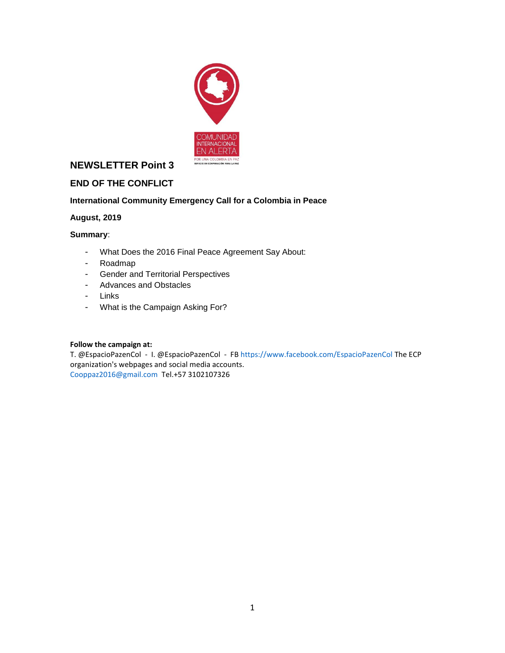

# **NEWSLETTER Point 3**

## **END OF THE CONFLICT**

#### **International Community Emergency Call for a Colombia in Peace**

#### **August, 2019**

#### **Summary**:

- What Does the 2016 Final Peace Agreement Say About:
- Roadmap
- Gender and Territorial Perspectives
- Advances and Obstacles
- Links
- What is the Campaign Asking For?

#### **Follow the campaign at:**

T. @EspacioPazenCol - I. @EspacioPazenCol - F[B https://www.facebook.com/EspacioPazenCol](https://www.facebook.com/EspacioPazenCol) The ECP organization's webpages and social media accounts. [Cooppaz2016@gmail.com](email:Cooppaz2016@gmail.com) Tel.+57 3102107326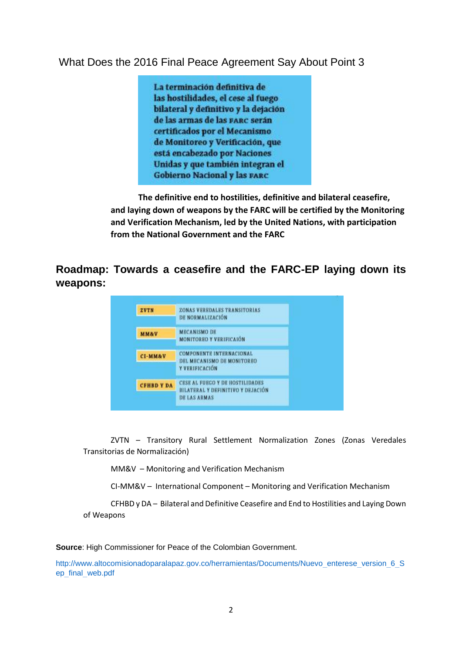# What Does the 2016 Final Peace Agreement Say About Point 3

La terminación definitiva de las hostilidades, el cese al fuego bilateral y definitivo y la dejación de las armas de las parc serán certificados por el Mecanismo de Monitoreo y Verificación, que está encabezado por Naciones Unidas y que también integran el **Gobierno Nacional y las FARC** 

**The definitive end to hostilities, definitive and bilateral ceasefire, and laying down of weapons by the FARC will be certified by the Monitoring and Verification Mechanism, led by the United Nations, with participation from the National Government and the FARC**

# **Roadmap: Towards a ceasefire and the FARC-EP laying down its weapons:**

| ZVTN               | ZONAS VEREDALES TRANSITORIAS<br>DE NORMALIZACIÓN<br><b>MECANISMO DE</b><br><b>MONITOREO Y VERIFICAIÓN</b><br>COMPONENTE INTERNACIONAL<br>DEL MECANISMO DE MONITOREO<br>Y VERIFICACIÓN<br><b>CESE AL FUEGO Y DE HOSTILIDADES</b> |
|--------------------|---------------------------------------------------------------------------------------------------------------------------------------------------------------------------------------------------------------------------------|
| <b>MM&amp;V</b>    |                                                                                                                                                                                                                                 |
| <b>CI-MM&amp;V</b> |                                                                                                                                                                                                                                 |
| <b>CFHBD Y DA</b>  | <b>BILATERAL Y DEFINITIVO Y DEJACIÓN</b><br><b>DE LAS ARMAS</b>                                                                                                                                                                 |

ZVTN – Transitory Rural Settlement Normalization Zones (Zonas Veredales Transitorias de Normalización)

MM&V – Monitoring and Verification Mechanism

CI-MM&V – International Component – Monitoring and Verification Mechanism

CFHBD y DA – Bilateral and Definitive Ceasefire and End to Hostilities and Laying Down of Weapons

**Source**: High Commissioner for Peace of the Colombian Government.

[http://www.altocomisionadoparalapaz.gov.co/herramientas/Documents/Nuevo\\_enterese\\_version\\_6\\_S](http://www.altocomisionadoparalapaz.gov.co/herramientas/Documents/Nuevo_enterese_version_6_Sep_final_web.pdf) [ep\\_final\\_web.pdf](http://www.altocomisionadoparalapaz.gov.co/herramientas/Documents/Nuevo_enterese_version_6_Sep_final_web.pdf)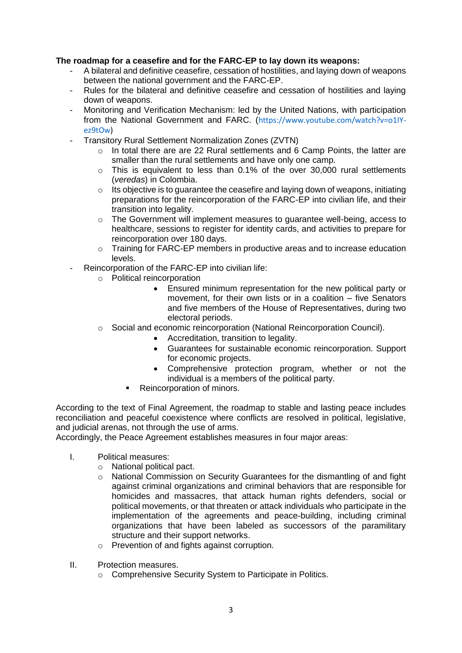## **The roadmap for a ceasefire and for the FARC-EP to lay down its weapons:**

- A bilateral and definitive ceasefire, cessation of hostilities, and laying down of weapons between the national government and the FARC-EP.
- Rules for the bilateral and definitive ceasefire and cessation of hostilities and laying down of weapons.
- Monitoring and Verification Mechanism: led by the United Nations, with participation from the National Government and FARC. ([https://www.youtube.com/watch?v=o1IY](https://www.youtube.com/watch?v=o1IY-ez9tOw)[ez9tOw\)](https://www.youtube.com/watch?v=o1IY-ez9tOw)
- Transitory Rural Settlement Normalization Zones (ZVTN)
	- $\circ$  In total there are are 22 Rural settlements and 6 Camp Points, the latter are smaller than the rural settlements and have only one camp.
	- $\circ$  This is equivalent to less than 0.1% of the over 30,000 rural settlements (*veredas*) in Colombia.
	- $\circ$  Its objective is to quarantee the ceasefire and laying down of weapons, initiating preparations for the reincorporation of the FARC-EP into civilian life, and their transition into legality.
	- $\circ$  The Government will implement measures to quarantee well-being, access to healthcare, sessions to register for identity cards, and activities to prepare for reincorporation over 180 days.
	- $\circ$  Training for FARC-EP members in productive areas and to increase education levels.
- Reincorporation of the FARC-EP into civilian life:
	- o Political reincorporation
		- Ensured minimum representation for the new political party or movement, for their own lists or in a coalition – five Senators and five members of the House of Representatives, during two electoral periods.
	- $\circ$  Social and economic reincorporation (National Reincorporation Council).
		- Accreditation, transition to legality.
		- Guarantees for sustainable economic reincorporation. Support for economic projects.
		- Comprehensive protection program, whether or not the individual is a members of the political party.
		- Reincorporation of minors.

According to the text of Final Agreement, the roadmap to stable and lasting peace includes reconciliation and peaceful coexistence where conflicts are resolved in political, legislative, and judicial arenas, not through the use of arms.

Accordingly, the Peace Agreement establishes measures in four major areas:

- I. Political measures:
	- o National political pact.
	- o National Commission on Security Guarantees for the dismantling of and fight against criminal organizations and criminal behaviors that are responsible for homicides and massacres, that attack human rights defenders, social or political movements, or that threaten or attack individuals who participate in the implementation of the agreements and peace-building, including criminal organizations that have been labeled as successors of the paramilitary structure and their support networks.
	- o Prevention of and fights against corruption.
- II. Protection measures.
	- o Comprehensive Security System to Participate in Politics.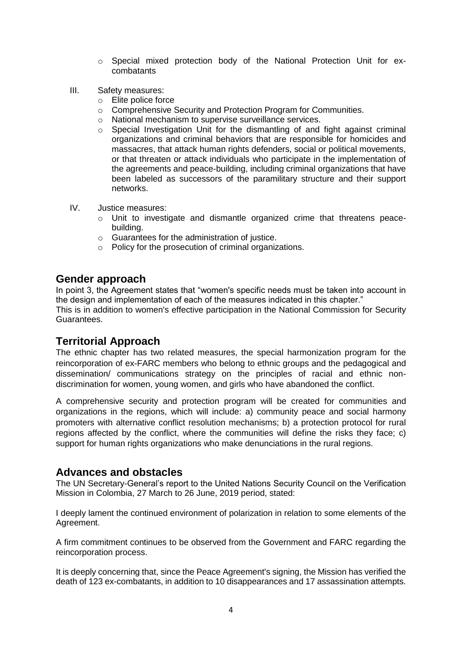- o Special mixed protection body of the National Protection Unit for excombatants
- III. Safety measures:
	- o Elite police force
	- o Comprehensive Security and Protection Program for Communities.
	- o National mechanism to supervise surveillance services.
	- $\circ$  Special Investigation Unit for the dismantling of and fight against criminal organizations and criminal behaviors that are responsible for homicides and massacres, that attack human rights defenders, social or political movements, or that threaten or attack individuals who participate in the implementation of the agreements and peace-building, including criminal organizations that have been labeled as successors of the paramilitary structure and their support networks.
- IV. Justice measures:
	- $\circ$  Unit to investigate and dismantle organized crime that threatens peacebuilding.
	- o Guarantees for the administration of justice.
	- o Policy for the prosecution of criminal organizations.

## **Gender approach**

In point 3, the Agreement states that "women's specific needs must be taken into account in the design and implementation of each of the measures indicated in this chapter."

This is in addition to women's effective participation in the National Commission for Security Guarantees.

## **Territorial Approach**

The ethnic chapter has two related measures, the special harmonization program for the reincorporation of ex-FARC members who belong to ethnic groups and the pedagogical and dissemination/ communications strategy on the principles of racial and ethnic nondiscrimination for women, young women, and girls who have abandoned the conflict.

A comprehensive security and protection program will be created for communities and organizations in the regions, which will include: a) community peace and social harmony promoters with alternative conflict resolution mechanisms; b) a protection protocol for rural regions affected by the conflict, where the communities will define the risks they face; c) support for human rights organizations who make denunciations in the rural regions.

# **Advances and obstacles**

The UN Secretary-General's report to the United Nations Security Council on the Verification Mission in Colombia, 27 March to 26 June, 2019 period, stated:

I deeply lament the continued environment of polarization in relation to some elements of the Agreement.

A firm commitment continues to be observed from the Government and FARC regarding the reincorporation process.

It is deeply concerning that, since the Peace Agreement's signing, the Mission has verified the death of 123 ex-combatants, in addition to 10 disappearances and 17 assassination attempts.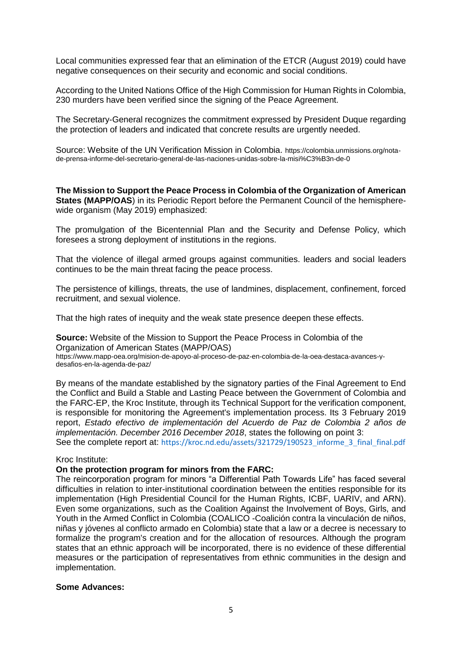Local communities expressed fear that an elimination of the ETCR (August 2019) could have negative consequences on their security and economic and social conditions.

According to the United Nations Office of the High Commission for Human Rights in Colombia, 230 murders have been verified since the signing of the Peace Agreement.

The Secretary-General recognizes the commitment expressed by President Duque regarding the protection of leaders and indicated that concrete results are urgently needed.

Source: Website of the UN Verification Mission in Colombia. [https://colombia.unmissions.org/nota](https://colombia.unmissions.org/nota-de-prensa-informe-del-secretario-general-de-las-naciones-unidas-sobre-la-misión-de-0)[de-prensa-informe-del-secretario-general-de-las-naciones-unidas-sobre-la-misi%C3%B3n-de-0](https://colombia.unmissions.org/nota-de-prensa-informe-del-secretario-general-de-las-naciones-unidas-sobre-la-misión-de-0)

**The Mission to Support the Peace Process in Colombia of the Organization of American States (MAPP/OAS**) in its Periodic Report before the Permanent Council of the hemispherewide organism (May 2019) emphasized:

The promulgation of the Bicentennial Plan and the Security and Defense Policy, which foresees a strong deployment of institutions in the regions.

That the violence of illegal armed groups against communities. leaders and social leaders continues to be the main threat facing the peace process.

The persistence of killings, threats, the use of landmines, displacement, confinement, forced recruitment, and sexual violence.

That the high rates of inequity and the weak state presence deepen these effects.

**Source:** Website of the Mission to Support the Peace Process in Colombia of the Organization of American States (MAPP/OAS)

[https://www.mapp-oea.org/mision-de-apoyo-al-proceso-de-paz-en-colombia-de-la-oea-destaca-avances-y](https://www.mapp-oea.org/mision-de-apoyo-al-proceso-de-paz-en-colombia-de-la-oea-destaca-avances-y-desafios-en-la-agenda-de-paz/)[desafios-en-la-agenda-de-paz/](https://www.mapp-oea.org/mision-de-apoyo-al-proceso-de-paz-en-colombia-de-la-oea-destaca-avances-y-desafios-en-la-agenda-de-paz/)

By means of the mandate established by the signatory parties of the Final Agreement to End the Conflict and Build a Stable and Lasting Peace between the Government of Colombia and the FARC-EP, the Kroc Institute, through its Technical Support for the verification component, is responsible for monitoring the Agreement's implementation process. Its 3 February 2019 report, *Estado efectivo de implementación del Acuerdo de Paz de Colombia 2 años de implementación. December 2016 December 2018*, states the following on point 3:

See the complete report at: [https://kroc.nd.edu/assets/321729/190523\\_informe\\_3\\_final\\_final.pdf](https://kroc.nd.edu/assets/321729/190523_informe_3_final_final.pdf)

#### Kroc Institute:

#### **On the protection program for minors from the FARC:**

The reincorporation program for minors "a Differential Path Towards Life" has faced several difficulties in relation to inter-institutional coordination between the entities responsible for its implementation (High Presidential Council for the Human Rights, ICBF, UARIV, and ARN). Even some organizations, such as the Coalition Against the Involvement of Boys, Girls, and Youth in the Armed Conflict in Colombia (COALICO -Coalición contra la vinculación de niños, niñas y jóvenes al conflicto armado en Colombia) state that a law or a decree is necessary to formalize the program's creation and for the allocation of resources. Although the program states that an ethnic approach will be incorporated, there is no evidence of these differential measures or the participation of representatives from ethnic communities in the design and implementation.

#### **Some Advances:**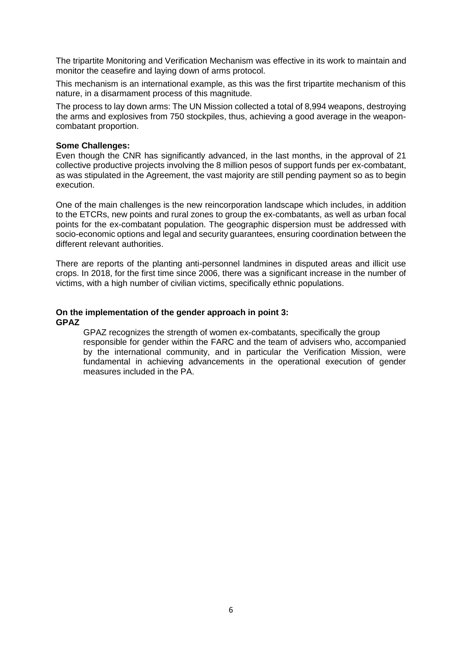The tripartite Monitoring and Verification Mechanism was effective in its work to maintain and monitor the ceasefire and laying down of arms protocol.

This mechanism is an international example, as this was the first tripartite mechanism of this nature, in a disarmament process of this magnitude.

The process to lay down arms: The UN Mission collected a total of 8,994 weapons, destroying the arms and explosives from 750 stockpiles, thus, achieving a good average in the weaponcombatant proportion.

#### **Some Challenges:**

Even though the CNR has significantly advanced, in the last months, in the approval of 21 collective productive projects involving the 8 million pesos of support funds per ex-combatant, as was stipulated in the Agreement, the vast majority are still pending payment so as to begin execution.

One of the main challenges is the new reincorporation landscape which includes, in addition to the ETCRs, new points and rural zones to group the ex-combatants, as well as urban focal points for the ex-combatant population. The geographic dispersion must be addressed with socio-economic options and legal and security guarantees, ensuring coordination between the different relevant authorities.

There are reports of the planting anti-personnel landmines in disputed areas and illicit use crops. In 2018, for the first time since 2006, there was a significant increase in the number of victims, with a high number of civilian victims, specifically ethnic populations.

#### **On the implementation of the gender approach in point 3: GPAZ**

GPAZ recognizes the strength of women ex-combatants, specifically the group responsible for gender within the FARC and the team of advisers who, accompanied by the international community, and in particular the Verification Mission, were fundamental in achieving advancements in the operational execution of gender measures included in the PA.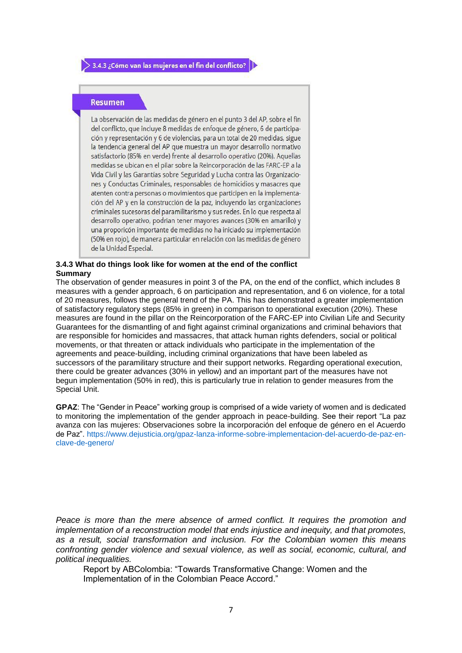#### **Resumen**

La observación de las medidas de género en el punto 3 del AP, sobre el fin del conflicto, que incluye 8 medidas de enfoque de género, 6 de participación y representación y 6 de violencias, para un total de 20 medidas, sigue la tendencia general del AP que muestra un mayor desarrollo normativo satisfactorio (85% en verde) frente al desarrollo operativo (20%). Aquellas medidas se ubican en el pilar sobre la Reincorporación de las FARC-EP a la Vida Civil y las Garantías sobre Seguridad y Lucha contra las Organizaciones y Conductas Criminales, responsables de homicidios y masacres que atenten contra personas o movimientos que participen en la implementación del AP y en la construcción de la paz, incluyendo las organizaciones criminales sucesoras del paramilitarismo y sus redes. En lo que respecta al desarrollo operativo, podrian tener mayores avances (30% en amarillo) y una proporicón importante de medidas no ha iniciado su implementación (50% en rojo), de manera particular en relación con las medidas de género de la Unidad Especial.

#### **3.4.3 What do things look like for women at the end of the conflict Summary**

The observation of gender measures in point 3 of the PA, on the end of the conflict, which includes 8 measures with a gender approach, 6 on participation and representation, and 6 on violence, for a total of 20 measures, follows the general trend of the PA. This has demonstrated a greater implementation of satisfactory regulatory steps (85% in green) in comparison to operational execution (20%). These measures are found in the pillar on the Reincorporation of the FARC-EP into Civilian Life and Security Guarantees for the dismantling of and fight against criminal organizations and criminal behaviors that are responsible for homicides and massacres, that attack human rights defenders, social or political movements, or that threaten or attack individuals who participate in the implementation of the agreements and peace-building, including criminal organizations that have been labeled as successors of the paramilitary structure and their support networks. Regarding operational execution, there could be greater advances (30% in yellow) and an important part of the measures have not begun implementation (50% in red), this is particularly true in relation to gender measures from the Special Unit.

**GPAZ**: The "Gender in Peace" working group is comprised of a wide variety of women and is dedicated to monitoring the implementation of the gender approach in peace-building. See their report "La paz avanza con las mujeres: Observaciones sobre la incorporación del enfoque de género en el Acuerdo de Paz". [https://www.dejusticia.org/gpaz-lanza-informe-sobre-implementacion-del-acuerdo-de-paz-en](https://www.dejusticia.org/gpaz-lanza-informe-sobre-implementacion-del-acuerdo-de-paz-en-clave-de-genero/)[clave-de-genero/](https://www.dejusticia.org/gpaz-lanza-informe-sobre-implementacion-del-acuerdo-de-paz-en-clave-de-genero/)

*Peace is more than the mere absence of armed conflict. It requires the promotion and implementation of a reconstruction model that ends injustice and inequity, and that promotes, as a result, social transformation and inclusion. For the Colombian women this means confronting gender violence and sexual violence, as well as social, economic, cultural, and political inequalities.*

Report by ABColombia: "Towards Transformative Change: Women and the Implementation of in the Colombian Peace Accord."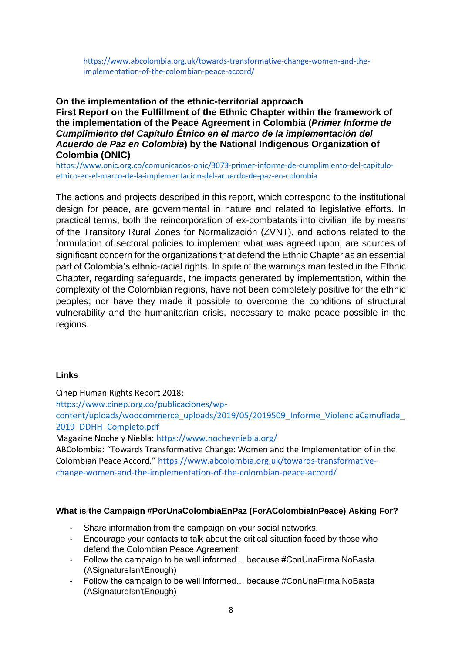[https://www.abcolombia.org.uk/towards-transformative-change-women-and-the](https://www.abcolombia.org.uk/towards-transformative-change-women-and-the-implementation-of-the-colombian-peace-accord/)[implementation-of-the-colombian-peace-accord/](https://www.abcolombia.org.uk/towards-transformative-change-women-and-the-implementation-of-the-colombian-peace-accord/)

## **On the implementation of the ethnic-territorial approach First Report on the Fulfillment of the Ethnic Chapter within the framework of the implementation of the Peace Agreement in Colombia (***Primer Informe de Cumplimiento del Capítulo Étnico en el marco de la implementación del Acuerdo de Paz en Colombia***) by the National Indigenous Organization of Colombia (ONIC)**

[https://www.onic.org.co/comunicados-onic/3073-primer-informe-de-cumplimiento-del-capitulo](https://www.onic.org.co/comunicados-onic/3073-primer-informe-de-cumplimiento-del-capitulo-etnico-en-el-marco-de-la-implementacion-del-acuerdo-de-paz-en-colombia)[etnico-en-el-marco-de-la-implementacion-del-acuerdo-de-paz-en-colombia](https://www.onic.org.co/comunicados-onic/3073-primer-informe-de-cumplimiento-del-capitulo-etnico-en-el-marco-de-la-implementacion-del-acuerdo-de-paz-en-colombia)

The actions and projects described in this report, which correspond to the institutional design for peace, are governmental in nature and related to legislative efforts. In practical terms, both the reincorporation of ex-combatants into civilian life by means of the Transitory Rural Zones for Normalización (ZVNT), and actions related to the formulation of sectoral policies to implement what was agreed upon, are sources of significant concern for the organizations that defend the Ethnic Chapter as an essential part of Colombia's ethnic-racial rights. In spite of the warnings manifested in the Ethnic Chapter, regarding safeguards, the impacts generated by implementation, within the complexity of the Colombian regions, have not been completely positive for the ethnic peoples; nor have they made it possible to overcome the conditions of structural vulnerability and the humanitarian crisis, necessary to make peace possible in the regions.

### **Links**

Cinep Human Rights Report 2018:

[https://www.cinep.org.co/publicaciones/wp-](https://www.cinep.org.co/publicaciones/wp-content/uploads/woocommerce_uploads/2019/05/2019509_Informe_ViolenciaCamuflada_2019_DDHH_Completo.pdf)

[content/uploads/woocommerce\\_uploads/2019/05/2019509\\_Informe\\_ViolenciaCamuflada\\_](https://www.cinep.org.co/publicaciones/wp-content/uploads/woocommerce_uploads/2019/05/2019509_Informe_ViolenciaCamuflada_2019_DDHH_Completo.pdf) [2019\\_DDHH\\_Completo.pdf](https://www.cinep.org.co/publicaciones/wp-content/uploads/woocommerce_uploads/2019/05/2019509_Informe_ViolenciaCamuflada_2019_DDHH_Completo.pdf)

Magazine Noche y Niebla:<https://www.nocheyniebla.org/>

ABColombia: "Towards Transformative Change: Women and the Implementation of in the Colombian Peace Accord." [https://www.abcolombia.org.uk/towards-transformative](https://www.abcolombia.org.uk/towards-transformative-change-women-and-the-implementation-of-the-colombian-peace-accord/)[change-women-and-the-implementation-of-the-colombian-peace-accord/](https://www.abcolombia.org.uk/towards-transformative-change-women-and-the-implementation-of-the-colombian-peace-accord/)

### **What is the Campaign #PorUnaColombiaEnPaz (ForAColombiaInPeace) Asking For?**

- Share information from the campaign on your social networks.
- Encourage your contacts to talk about the critical situation faced by those who defend the Colombian Peace Agreement.
- Follow the campaign to be well informed… because #ConUnaFirma NoBasta (ASignatureIsn'tEnough)
- Follow the campaign to be well informed… because #ConUnaFirma NoBasta (ASignatureIsn'tEnough)